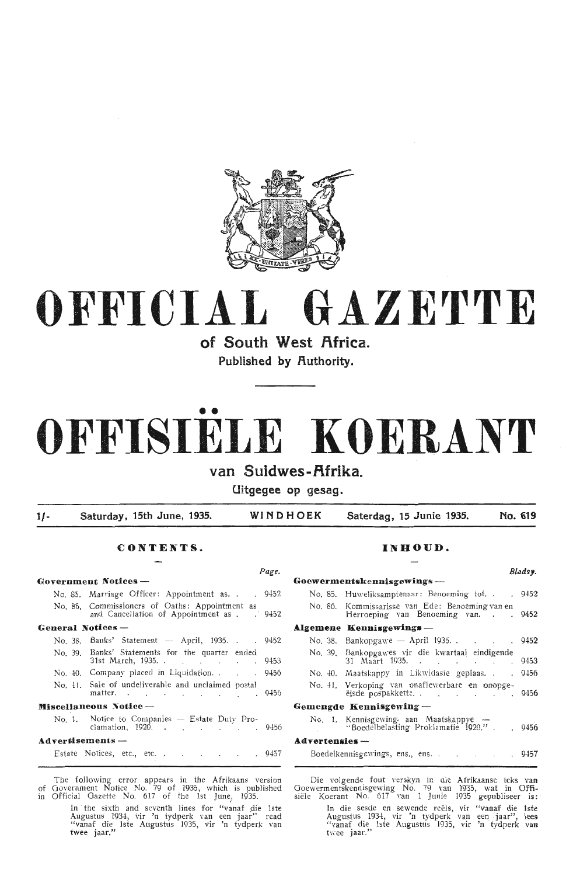

# **OFFICIAL GAZETTE**

**of South West flfrica.** 

Published by Authority.

# •• **0 FFISIELE KO ERANT**

## **van Suidwes-f\frika.**

**Uitgegee op gesag.** 

**1/- Saturday, 15th June, 1935. WINDHOEK Saterdag , 15 Junie 1935. No. 619** 

## **CONTENTS.** INHOUD.

# **General Notices** - **Algemene Kennisgewing•** -

| <b>Miscellaneous Notice-</b>                                              |  | Gemengde Kennisgewing.                         |
|---------------------------------------------------------------------------|--|------------------------------------------------|
| No. 41. Sale of undeliverable and unclaimed postal<br>matter (19456)      |  | No. 41. Verkoping van ona<br>ëisde pospakkette |
| No. 40. Company placed in Liquidation. 9456                               |  | No. 40. Maatskappy in Lik                      |
| No. 39. Banks' Statements for the quarter ended<br>31st March, 1935. 9453 |  | No. 39. Bankopgawes vir d<br>31 Maart 1935. .  |
| No. 38. Banks' Statement -- April, 1935. 9452                             |  | No. 38. Bankopgawe — Apr                       |

No. 1. Notice to Companies - Estate Duty Pro<br>clamation, 1920.

### **Advertisements** -

Estate Notices, etc., etc. . . . . . 945

The following error appears in the Afrikaans version of Government Notice No. 79 of 1935, which is published in Official Gazette No. 617 of the 1st June, 1935.

In the sixth and seventh lines for "vanaf die lste Augustus 1934, vir 'n tydperk van een jaar" read "vanaf die lste Augustus 1935, vir 'n tydperk van twee jaar."

# Page. **Bladsy. Government Notices** - **Goewermentskennisgewings** - No. 85. Marriage Officer: Appointment as. . . 9452 No. 85. Huweliksamptenaar: Benoeming tot. . . . 9452 No. 86. Commissioners of Oaths: Appointment as No. 86. Kommissarisse van Ede: Benoeming van en and Cancellation of Appointment as 9452 Herroeping van Benoeming van. . . . . 9452  $52$  No. 38. Bankopgawe -- April 1935. . . . . . 9452 No. 39. Bankopgawes vir die kwartaal eindigende  $31$  Maart 1935.  $\ldots$  9453 56 No. 40. Maatskappy in Likwidasie geplaas. . . 9456 No. 41. Verkoping van onaflewerbare en onopge-<br>eisde pospakkette. . . . . . . . . . . 9456 clamation, 1920. Estate Duty Pro- No. 1. Kennisgewing. aan Maatskappye 9-l56 ·'Boedelbelasting Proklamatie 1920." . . 9456 **A.dvertenaies** - Boedelkennisgewings, ens., ens. . . . . . . . 9457

Die volgende fout verskyn in die Afrikaanse teks van wermentskennisgewing No. 79 van 1935, wat in Offi Goewermentskennisgewing No. 79 van 1935, wat **in** Offisiële Koerant No. 617 van 1 Junie 1935 gepubliseer is:

In die sesde en sewende reëls, vir "vanaf die 1ste Augustus 1934, vir 'n tydperk van een jaar", lees "vanaf die 1ste Augustus 1935, vir 'n tydperk van twee jaar."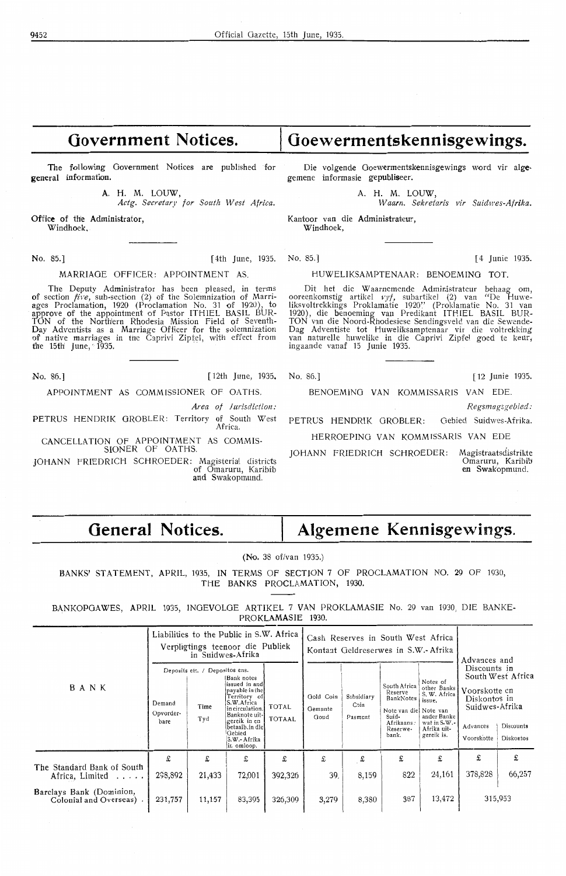# **Government Notices.**

The following Government Notices are published for general information.

> A. H. M. LOUW, *Actg. Secretary for South West Africa.*

Office of the Administrator, Windhoek.

No. 85.] **[ 4th June, 1935.** 

### MARRIAGE OFFICER: APPOINTMENT AS

The Deputy Administrator has been pleased, in terms of section *five*, sub-section (2) of the Solemnization of Marriages Proclamation, 1920 (Proclamation No. 31 of 1920), to approve of the appointment of Pastor ITHIEL BASIL BUR-TON of the Norfh'ern Rhodesia Mission Field of Seventh-Day Adventists as a Marriage Officer for the solemnization of native marriages in tne Caprivi Zipfel, with effect from the 15fh' June, 1935.

No. 86.] [ 12th June, 1935, No. 86.] [ 12 Junie 1935.

APPOINTMENT AS COMMISSIONER OF OATHS. BENOEMING VAN KOMMISSARIS VAN EDE

*Area of Jurisdiction:*  $Rersmagsgebied$ :

PETRUS HENDRIK GROBLER: Territory of South West PETRUS HENDRIK GROBLER: Africa.

CANCELLATION OF APPOINTMENT AS COMMIS-SIONER OF OATHS.

**JOHANN** FRIEDRICH SCHROEDER: Magisterial districts of Omaruru, Karibit and Swakopmund.

Die volgende Goewermentskennisgewings word vir alge-

**Goewermentskennisgewings.** 

gemene informasie gepubliseer;

A. H. M. LOUW, *W aam. Sekretaris vir Suidwes-Afrika.* 

Kantoor van die Administrateur. Windhoek,

No. 85.] [ 4 Junie 1935.

HUWELIKSAMPTENAAR: BENOEMING TOT.

Dit het die Waarnemende Administrateur behaag om,<br>ooreenkomstig artikel *vyf*, subartikel (2) van "De Huwe-<br>liksvoltrekkings Proklamatie 1920" (Proklamatie No. 31 van<br>1920), die benoeming van Predikant ITHIEL BASIL BUR-TON van die Noord-Rhodesiese Sendingsveld van die Sewende-Dag Adventiste tot Huweliksampknaar vir die voltrekking van naturelle huwelike in die Caprivi Zipfel goed te keur1 ingaande vanaf 15 Junie 1935.

Oebied Suidwes-Afrika.

HERROEPING VAN KOMMISSARIS VAN EDE

JOHANN FRIEDRICH SCHROEDER: Magistraatsdistrikte<br>Omaruru, Karibit<br>en Swakopmund.

General Notices. | Algemene Kennisgewings.

(No. 38 of/van 1935.)

BANKS' STATEMENT, APRIL, 1935, **IN** TERMS OF SECTION 7 OF PROCLAMATION NO. 29 OF 1930, THE BANKS PROCLAMATION, 1930.

BANKOPGAWES, APRIL 1935, INGEVOLOE ARTIKEL 7 VAN PROKLAMASIE No. 29 van 1930, DIE BANKE-**PROKLAMASIE** 1930.

|                                                     |                             | in Suidwes-Afrika                             | Liabilities to the Public in S.W. Africa<br>Verpligtings teenoor die Publiek                                                                                                                        |                               |                              | Cash Reserves in South West Africa<br>Kontant Geldreserwes in S.W.- Afrika | Advances and                                                                                              |                                                                                                               |                                                                                           |                                             |
|-----------------------------------------------------|-----------------------------|-----------------------------------------------|-----------------------------------------------------------------------------------------------------------------------------------------------------------------------------------------------------|-------------------------------|------------------------------|----------------------------------------------------------------------------|-----------------------------------------------------------------------------------------------------------|---------------------------------------------------------------------------------------------------------------|-------------------------------------------------------------------------------------------|---------------------------------------------|
| BANK                                                | Demand<br>Opvorder-<br>bare | Deposits etc. / Depositos ens.<br>Time<br>Tyd | <b>IBank notes</b><br>issued in and<br>payable in the<br>Territory of<br>S.W.Africa<br>in circulation.<br> Banknote uit-l<br>gereik in en<br>betaalb.in die<br>Gebied<br>S.W.- Afrika<br>in omloop. | <b>TOTAL</b><br><b>TOTAAL</b> | Gold Coin<br>Gemunte<br>Goud | Subsidiary<br>Coin<br>Pasmunt                                              | South Africa<br>Reserve<br>BankNotes<br>Note van die Note van<br>Suid-<br>Afrikaans:<br>Reserwe-<br>bank. | Notes of<br>other Banks<br>S. W. Africa<br>issue.<br>ander Banke<br>wat in S.W.-<br>Afrika uit-<br>gereik is. | Discounts in<br>Voorskotte en<br>Diskontos in<br>Suidwes-Afrika<br>Advances<br>Voorskotte | South West Africa<br>Discounts<br>Diskontos |
| The Standard Bank of South                          | £                           | £                                             | £                                                                                                                                                                                                   | £                             | £                            | £                                                                          | £                                                                                                         | £                                                                                                             | £                                                                                         | £                                           |
| Africa, Limited                                     | 298,892                     | 21,433                                        | 72,001                                                                                                                                                                                              | 392,326                       | 39.                          | 8,159                                                                      | 822                                                                                                       | 24,161                                                                                                        | 378,828                                                                                   | 66,257                                      |
| Barclays Bank (Dominion,<br>Colonial and Overseas). | 231,757                     | 11,157                                        | 83,395                                                                                                                                                                                              | 326,309                       | 3,279                        | 8,380                                                                      | 387                                                                                                       | 13,472                                                                                                        |                                                                                           | 315,953                                     |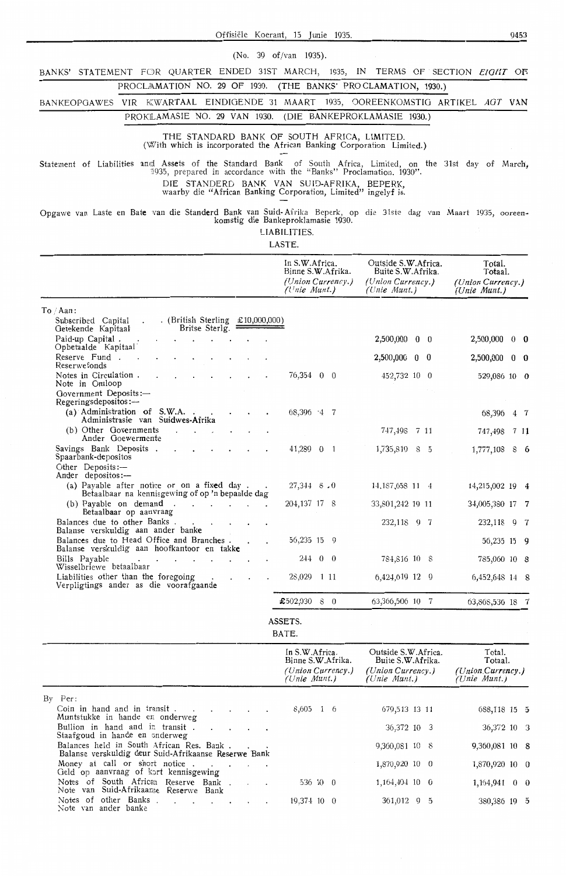(No. 39 of/van 1935).

BANKS' STATEMENT FOR QUARTER ENDED 31ST MARCH, 1935, IN TERMS OF SECTION *EIGHT* OF

PROCLAMATION NO. 29 OF 1930. (THE BANKS' PROCLAMATION, 1930.)

BANKEOPGAWES VIR KWARTAAL EINDIGENDE 31 MAART 1935, OOREENKOMSTIG ARTIKEL AGT VAN PROKLAMASIE NO. 29 VAN 1930. (DIE BANKEPROKLAMASIE 1930.)

THE STANDARD BANK OF SOUTH AFRICA, LIMITED. (With which is incorporated the African Banking Corporation Limited.)

Statement of Liabilities and Assets of the Standard Bank of South Africa, Limited, on the 31st day of March, <sup>11</sup> 935, prepared in accordance with the "Banks" Proclamation. 1930". DIE STANDERD BANK VAN SU!D-AFRIKA, BEPERK,

waarby die "African Banking Corporation, Limited" ingelyf is.

Opgawe van Laste en Bate van die Standerd Bank van Suid-Afrika Beperk, op die 31ste dag van Maart 1935, ooreen-<br>komstig die Bankeproklamasie 1930.

LIABILITIES. LASTE.

|                                                                                                                                | In S.W.Africa.<br>Binne S.W.Afrika.<br>(Union Currency.)<br>$($ Unie Munt. $)$ | Outside S.W.Africa.<br>Buite S.W.Afrika.<br>(Union Currency.)<br>$(Unie$ Munt.) | Total.<br>Totaal.<br>(Union Currency.)<br>(Unie Munt.) |
|--------------------------------------------------------------------------------------------------------------------------------|--------------------------------------------------------------------------------|---------------------------------------------------------------------------------|--------------------------------------------------------|
| To / Aan:<br>. (British Sterling $£10,000,000)$<br>Subscribed Capital<br>Britse Sterlg.<br>Getekende Kapitaal                  |                                                                                |                                                                                 |                                                        |
| Paid-up Capital.<br>Opbetaalde Kapitaal                                                                                        |                                                                                | 2,500,000 0 0                                                                   | 2,500,000 0 0                                          |
| Reserve Fund.<br>Reserwefonds                                                                                                  |                                                                                | 2,500,000<br>$0\quad 0$                                                         | 2,500,000 0 0                                          |
| Notes in Circulation.<br>Note in Omloop                                                                                        | 76,354 0 0                                                                     | 452,732 10 0                                                                    | 529,086 10 0                                           |
| Government Deposits:-<br>Regeringsdepositos:-                                                                                  |                                                                                |                                                                                 |                                                        |
| (a) Administration of S.W.A.<br>Administrasie van Suidwes-Afrika                                                               | $68,396$ $-4$ 7                                                                |                                                                                 | 68,396 4 7                                             |
| (b) Other Governments<br>Ander Goewermente                                                                                     |                                                                                | 747,498 7 11                                                                    | 747,498<br>711                                         |
| Savings Bank Deposits.<br>Spaarbank-depositos<br>Other Deposits:-                                                              | 41,289 0<br>- 1                                                                | 1,735,819 8 5                                                                   | 1,777,108 8 6                                          |
| Ander depositos:-<br>(a) Payable after notice or on a fixed day.<br>Betaalbaar na kennisgewing of op 'n bepaalde dag           | $27,344$ 8.0                                                                   | 14, 187, 658 11 4                                                               | 14,215,002 19 4                                        |
| (b) Payable on demand.                                                                                                         | 204, 137 17 8                                                                  | 33,801,242 19 11                                                                | 34,005,380 17 7                                        |
| Betaalbaar op aanvraag<br>Balances due to other Banks.                                                                         |                                                                                | 232,118 9 7                                                                     | 232,118 9 7                                            |
| Balanse verskuldig aan ander banke<br>Balances due to Head Office and Branches.<br>Balanse verskuldig aan hoofkantoor en takke | 56,235 15 9                                                                    |                                                                                 | 56,235 15 9                                            |
| Bills Payable<br>Wisselbriewe betaalbaar                                                                                       | 244 0 0                                                                        | 784,816 10 8                                                                    | 785,060 10 8                                           |
| Liabilities other than the foregoing<br>Verpligtings ander as die voorafgaande                                                 | 28,029 1 11                                                                    | 6,424,619 12 9                                                                  | 6,452,648 14 8                                         |
|                                                                                                                                | $£502,030$ 8 0                                                                 | 63,366,506 10 7                                                                 | 63,868,536 18 7                                        |
|                                                                                                                                | ASSETS.<br>BATE.                                                               |                                                                                 |                                                        |
|                                                                                                                                | In S.W.Africa.<br>Binne S.W.Afrika.<br>(Union Currency.)<br>(Unie Munt.)       | Outside S.W.Africa.<br>Buite S.W.Afrika.<br>(Union Currency.)<br>(Unie Munt.)   | Total.<br>Totaal.<br>(Union Currency.)<br>(Unie Munt.) |
| $By$ Per:<br>Coin in hand and in transit                                                                                       | 8,605 1 6                                                                      | 679,513 13 11                                                                   | 688,118 15 5                                           |
| Muntstukke in hande en onderweg<br>Bullion in hand and in transit.<br>$\cdot$ $\cdot$                                          |                                                                                | 36,372 10 3                                                                     | 36,372 10 3                                            |
| Staafgoud in hande en snderweg<br>Balances held in South African Res. Bank.                                                    |                                                                                | 9,360,081 10 8                                                                  | $9,360,081$ 10 8                                       |
| Balanse verskuldig deur Suid-Afrikaanse Reserwe Bank<br>Money at call or short notice                                          |                                                                                | 1,870,920 10 0                                                                  | 1,870,920 10 0                                         |
| Geld op aanvraag of kort kennisgewing<br>Notes of South African Reserve Bank.<br>$\sim$                                        | 536 10 0                                                                       | 1,164,404 10 0                                                                  | $1,164,941$ 0 0                                        |
| Note van Suid-Afrikaanse Reserwe Bank<br>Notes of other Banks.<br>and a strong control of the strong<br>Note van ander banke   | 19,374 10 0                                                                    | 361,012 9 5                                                                     | 380,386 19 5                                           |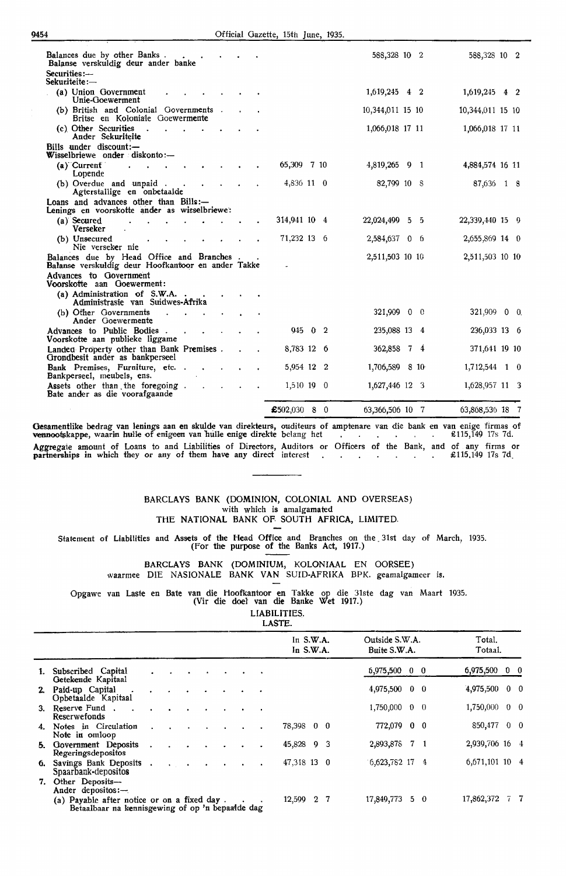| Balances due by other Banks.<br>Balanse verskuldig deur ander banke                             | <b>Service Control</b> |  |                       |  | 588,328 10 2     |  | 588,328 10 2     |  |
|-------------------------------------------------------------------------------------------------|------------------------|--|-----------------------|--|------------------|--|------------------|--|
| Securities:-<br>$S$ ekuriteite: $-$                                                             |                        |  |                       |  |                  |  |                  |  |
| (a) Union Government<br>Unie-Goewerment                                                         |                        |  |                       |  | 1,619,245 4 2    |  | 1,619,245 4 2    |  |
| (b) British and Colonial Governments.<br>Britse en Koloniale Goewermente                        |                        |  |                       |  | 10,344,011 15 10 |  | 10,344,011 15 10 |  |
| (c) Other Securities<br>$\sim$<br>Ander Sekuriteite                                             |                        |  |                       |  | 1,066,018 17 11  |  | 1,066,018 17 11  |  |
| Bills under discount:-<br>Wisselbriewe onder diskonto:-                                         |                        |  |                       |  |                  |  |                  |  |
| $(a)$ Current<br>Lopende                                                                        |                        |  | 65,309 7 10           |  | 4,819,265 9 1    |  | 4,884,574 16 11  |  |
| (b) Overdue and unpaid.<br>Agterstallige en onbetaalde                                          |                        |  | 4,836 11 0            |  | 82,799 10 8      |  | 87,636 1 8       |  |
| Loans and advances other than Bills:-<br>Lenings en voorskotte ander as wisselbriewe:           |                        |  |                       |  |                  |  |                  |  |
| (a) Secured<br>Verseker                                                                         |                        |  | 314,941 10 4          |  | 22,024,499 5 5   |  | 22,339,440 15 9  |  |
| (b) Unsecured<br>Nie verseker nie                                                               |                        |  | 71,232 13 6           |  | 2,584,637 0 6    |  | 2,655,869 14 0   |  |
| Balances due by Head Office and Branches.<br>Balanse verskuldig deur Hoofkantoor en ander Takke |                        |  |                       |  | 2,511,503 10 10  |  | 2,511,503 10 10  |  |
| Advances to Government<br>Voorskotte aan Goewerment:                                            |                        |  |                       |  |                  |  |                  |  |
| (a) Administration of $S.W.A.$ .<br>Administrasie van Suidwes-Afrika                            |                        |  |                       |  |                  |  |                  |  |
| (b) Other Governments<br>$\mathbf{r}$<br>Ander Goewermente                                      |                        |  |                       |  | 321,909 0 0      |  | $321,909$ 0 0    |  |
| Advances to Public Bodies.<br>Voorskotte aan publieke liggame                                   | $\mathbf{r}$           |  | $945 \quad 0 \quad 2$ |  | 235,088 13 4     |  | 236,033 13 6     |  |
| Landed Property other than Bank Premises.<br>Grondbesit ander as bankperseel                    |                        |  | 8,783 12 6            |  | 362,858 7 4      |  | 371,641 19 10    |  |
| Bank Premises, Furniture, etc. .<br>Bankperseel, meubels, ens.                                  |                        |  | 5,954 12 2            |  | 1,706,589 8 10   |  | 1,712,544 1 0    |  |
| Assets other than the foregoing.<br>Bate ander as die voorafgaande                              |                        |  | 1,510 19 0            |  | 1,627,446 12 3   |  | 1,628,957 11 3   |  |
|                                                                                                 |                        |  | £502,030 8 0          |  | 63,366,506 10 7  |  | 63,868,536 18 7  |  |
|                                                                                                 |                        |  |                       |  |                  |  |                  |  |

Gesamentlike bedrag van lenings aan en skulde van direkteurs, ouditeurs of amptenare van die bank en van enige firmas of<br>vennootskappe, waarin hulle of enigeen van hulle enige direkte belang het de aangen ten stell 17s 7d. Aggregate amount of Loans to and Liabilities of Directors, Auditors or Officers of the Bank, and of any firms or partnerships in which they or any of them have any direct interest . . . . . . . . . . . £115.149 17s 7d.

#### BARCLAYS BANK (DOMINION, COLONIAL AND OVERSEAS) with which is amalgamated THE NATIONAL BANK OF SOUTH AFRICA, LIMITED.

Statement of Liabilities and Assets of the Head Office and Branches on the 31st day of March, 1935. (For the purpose of the Banks Act, 1917.)

> BARCLAYS BANK (DOMINIUM, KOLONIAAL EN OORSEE) waarmee DIE NASIONALE BANK VAN SUID-AFRIKA BPK. geamalgameer is.

Opgawe van Laste en Bate van die tioofkantoor en Takke op die 31ste dag van Maart 1935. (Vir die doel' van die Banke Wet 1917.)

LIABILITIES.

LASTE.

|    |                                                                                                 |                      |                                        |  |  |           | In $S.W.A.$<br>In S.W.A. |  | Outside S.W.A.<br>Buite S.W.A. |  | Total.<br>Totaal. |            |        |
|----|-------------------------------------------------------------------------------------------------|----------------------|----------------------------------------|--|--|-----------|--------------------------|--|--------------------------------|--|-------------------|------------|--------|
|    | 1. Subscribed Capital<br>Getekende Kapitaal                                                     |                      |                                        |  |  |           |                          |  | $6,975,500$ 0 0                |  | 6,975,500 0 0     |            |        |
|    | 2. Paid-up Capital<br>Opbetaalde Kapitaal                                                       |                      |                                        |  |  |           |                          |  | 4,975,500 0 0                  |  | 4,975,500 0 0     |            |        |
|    | 3. Reserve Fund.<br>Reserwefonds                                                                |                      |                                        |  |  | $\bullet$ |                          |  | $1,750,000 \quad 0 \quad 0$    |  | 1,750,000         | $0\quad 0$ |        |
|    | 4. Notes in Circulation<br>Note in omloop                                                       |                      |                                        |  |  |           | 78,398 0 0               |  | 772,079 0 0                    |  | 850,477 0 0       |            |        |
|    | <b>5.</b> Government Deposits<br>Regeringsdepositos                                             | $\ddot{\phantom{0}}$ |                                        |  |  |           | 45,828 9 3               |  | 2,893,878 7 1                  |  | 2,939,706 16 4    |            |        |
| б. | Savings Bank Deposits.<br>Spaarbank-depositos                                                   |                      | $\sim 100$ km s $^{-1}$ and $\sim 100$ |  |  |           | 47,318 13 0              |  | 6,623,782 17 4                 |  | 6,671,101 10 4    |            |        |
|    | 7. Other Deposits-<br>Ander depositos:-                                                         |                      |                                        |  |  |           |                          |  |                                |  |                   |            |        |
|    | (a) Pavable after notice or on a fixed day.<br>Betaalbaar na kennisgewing of op 'n bepaalde dag |                      |                                        |  |  |           | 12,599 2 7               |  | 17,849,773 5 0                 |  | 17,862,372        |            | $7\,7$ |

sgewing or op 'n bepaa'id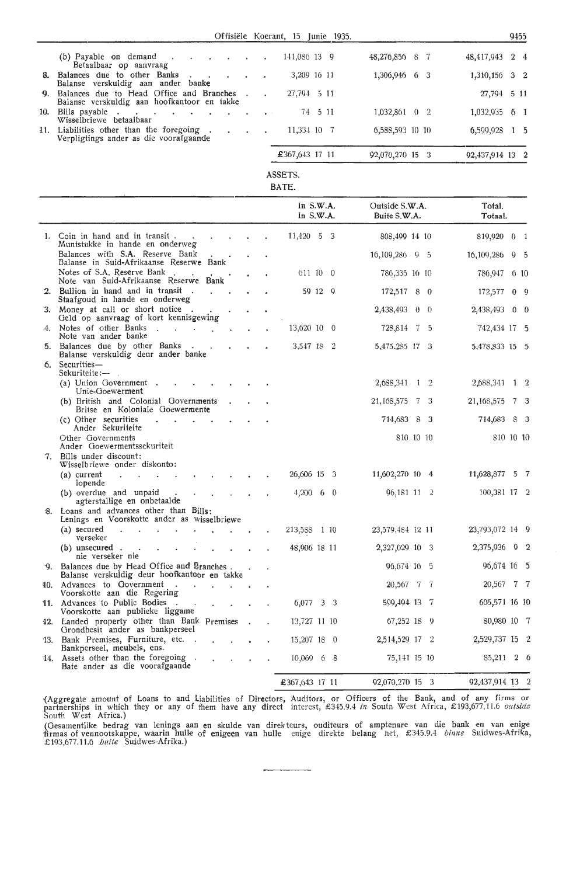Offisiele Koerant, 15 Junie 1935.

|                                                                                            |  | OTHSICIC ROCLARI, 19 JUNIO 1999. |                 |                 | ソナリリ |
|--------------------------------------------------------------------------------------------|--|----------------------------------|-----------------|-----------------|------|
| (b) Payable on demand $\cdot$<br>Betaalbaar op aanvraag                                    |  | 141,086 13 9                     | 48,276,856 8 7  | 48,417,943 2 4  |      |
| 8. Balances due to other Banks<br>Balanse verskuldig aan ander banke                       |  | 3,209 16 11                      | 1,306,946 6 3   | 1,310,150 3 2   |      |
| 9. Balances due to Head Office and Branches<br>Balanse verskuldig aan hoofkantoor en takke |  | 27,794 5 11                      |                 | 27,794 5 11     |      |
| 10. Bills payable<br>Wisselbriewe betaalbaar                                               |  | 74 5 11                          | 1,032,861 0 2   | $1,032,935$ 6 1 |      |
| 11. Liabilities other than the foregoing.<br>Verpligtings ander as die voorafgaande        |  | 11,334 10 7                      | 6,588,593 10 10 | $6,599,928$ 1 5 |      |
|                                                                                            |  | £367,643 17 11                   | 92,070,270 15 3 | 92,437,914 13 2 |      |

ASSETS.

BATE.

|     |                                                                                              |  | In $S.W.A.$<br>In $S.W.A.$ |     | Outside S.W.A.<br>Buite S.W.A. | Total.<br>Totaal.              |
|-----|----------------------------------------------------------------------------------------------|--|----------------------------|-----|--------------------------------|--------------------------------|
|     | 1. Coin in hand and in transit.<br>Muntstukke in hande en onderweg                           |  | 11,420 5 3                 |     | 808,499 14 10                  | 819,920 0 1                    |
|     | Balances with S.A. Reserve Bank<br>Balanse in Suid-Afrikaanse Reserwe Bank                   |  |                            |     | 16, 109, 286 9 5               | 16, 109, 286<br>9 <sub>5</sub> |
|     | Notes of S.A. Reserve Bank.<br>Note van Suid-Afrikaanse Reserwe Bank                         |  | 611 10 0                   |     | 786,335 16 10                  | 786,947<br>610                 |
|     | 2. Bullion in hand and in transit.<br>Staafgoud in hande en onderweg                         |  | 59 12 9                    |     | 172,517 8 0                    | 0 <sub>0</sub><br>172,577      |
|     | 3. Money at call or short notice<br>Geld op aanvraag of kort kennisgewing                    |  |                            |     | $2,438,493$ 0 0                | 2,438,493<br>$0\quad 0$        |
|     | Notes of other Banks<br>$\mathcal{L}^{\mathcal{L}}$<br>Note van ander banke                  |  | 13,620 10 0                |     | 728,814<br>-75                 | 742,434 17 5                   |
| 5.  | Balances due by other Banks<br>Balanse verskuldig deur ander banke                           |  | 3,547 18<br>$\mathbf{r}$   |     | 5,475,285 17 3                 | 5,478,833 15 5                 |
| ÷Õ. | Securities-<br>Sekuriteite:-                                                                 |  |                            |     |                                |                                |
|     | (a) Union Government.<br>Unie-Goewerment                                                     |  |                            |     | 2,688,341 1 2                  | 2,688,341 1 2                  |
|     | (b) British and Colonial Governments<br>Britse en Koloniale Goewermente                      |  |                            |     | 21, 168, 575<br>73             | 21, 168, 575 7 3               |
|     | (c) Other securities<br>Ander Sekuriteite                                                    |  |                            |     | 714,683<br>8<br>- 3            | 714,683<br>- 8<br>- 3          |
|     | Other Governments<br>Ander Goewermentssekuriteit                                             |  |                            |     | 810 10 10                      | 810 10 10                      |
|     | 7. Bills under discount:<br>Wisselbriewe onder diskonto:                                     |  |                            |     |                                |                                |
|     | $(a)$ current<br>lopende                                                                     |  | 26,606 15 3                |     | 11,602,270 10 4                | 11,628,877<br>5 7              |
|     | (b) overdue and unpaid<br>agterstallige en onbetaalde                                        |  | $4,200$ 6 0                |     | $96,181$ 11 2                  | 100,381 17 2                   |
| 8.  | Loans and advances other than Bills:<br>Lenings en Voorskotte ander as wisselbriewe          |  |                            |     |                                |                                |
|     | (a) secured<br>$\mathbf{r}$<br>verseker                                                      |  | 213,588<br>- 1 10          |     | 23,579,484 12 11               | 23,793,072 14 9                |
|     | $(b)$ unsecured.<br>nie verseker nie                                                         |  | 48,906 18 11               |     | 2,327,029 10 3                 | 2,375,936<br>9 <sub>2</sub>    |
|     | 9. Balances due by Head Office and Branches.<br>Balanse verskuldig deur hoofkantoor en takke |  |                            |     | 96,674 16 5                    | 96,674 16 5                    |
| 10. | Advances to Government.<br>Voorskotte aan die Regering                                       |  |                            |     | 20,567 7 7                     | 20,567 7 7                     |
|     | 11. Advances to Public Bodies<br>Voorskotte aan publieke liggame                             |  | 6,077 3 3                  |     | 599,494 13 7                   | 605,571 16 10                  |
|     | 12. Landed property other than Bank Premises<br>Grondbesit ander as bankperseel              |  | 13,727 11 10               |     | 67,252 18<br>- 9               | 80,980 10 7                    |
|     | 13. Bank Premises, Furniture, etc<br>Bankperseel, meubels, ens.                              |  | 15,207 18 0                |     | 2,514,529 17 2                 | 2,529,737 15 2                 |
|     | 14. Assets other than the foregoing<br>Bate ander as die voorafgaande                        |  | $10,069$ 6                 | - 8 | 75,141 15 10                   | 85,211 2 6                     |
|     |                                                                                              |  | £367,643 17 11             |     | 92,070,270 15 3                | 92,437,914 13 2                |

(Aggregate amount of Loans to and Liabilities of Directors, Auditors, or Officers of the Bank, and of any firms or<br>partnerships in which they or any of them have any direct interest, £345.9.4 in South West Africa, £193,677 South West Africa.)

(Gesamentlike bedrag van Jenings aan en skulde van direk teurs, ouditeurs of amptenare van die bank en van enige nrmas of vennootskappe, waarin hulle of enigeen van hulle enige direkte belang hct, £345.9.4 *binne* Suidwes-Afrika, £ 193,677.11.6 *.buite* Suidwes-Afrika.)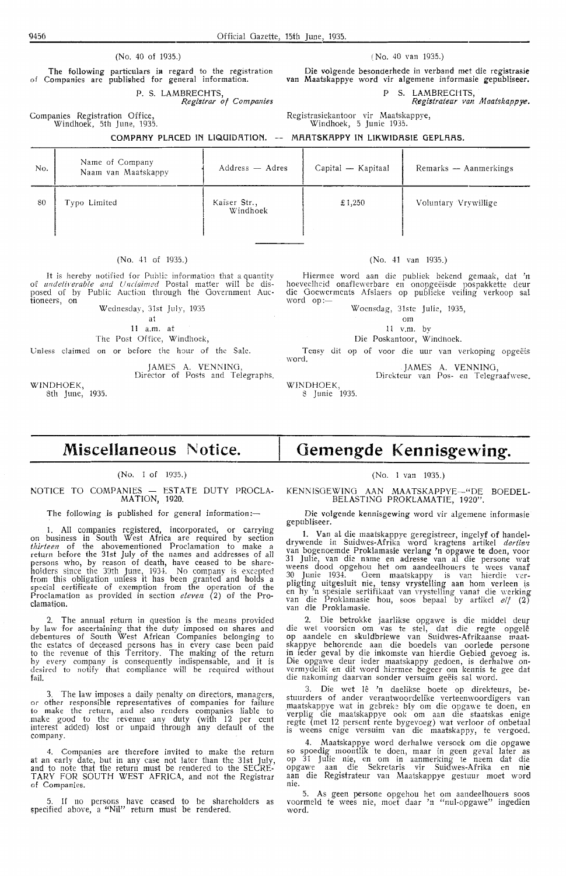The following particulars *in* regard to the registration of Companies are published for general information.

P. S. LAMBRECHTS,

*Registrar of Companies* 

Companies Registration Office, Windhoek, 5th June, 1935.

Die volgende besonderhede in verband met die registrasie **van** Maatskappye word vir algemene informasie gepubliseer.

P S. LAMBRECHTS,

*Registrateur van Maatskappye.* 

Registrasiekantoor vir Maatskappye, Windhoek, 5 Junie 1935.

#### COMPRNY PLRCED IN LIQUIDRTION. **MRRTSKRPPY IN LIKWIDRSIE GEPLRRS.**

| No. | Name of Company<br>Naam van Maatskappy | Address — Adres          | Capital - Kapitaal | Remarks - Aanmerkings |
|-----|----------------------------------------|--------------------------|--------------------|-----------------------|
| 80  | Typo Limited                           | Kaiser Str.,<br>Windhoek | £1,250             | Voluntary Vrywillige  |

#### (No. 41 of 1935.)

It is hereby notified for Public information that a quantity of *undeliverable and Unclaimed* Postal matter will be disposed of by Public Auction through the Government Auc-

Wednesday, 31st July, 1935 at

11 a.m. at

The Post Office, Windhoek,

Unless claimed on or before the hour of the Sale.

JAMES A. VENNING, Director of Posts and Telegraphs.

WINDHOEK, 8th June, 1935.

#### (No. 41 van 1935.)

Hiermee word aan die publiek bekend gemaak, dat 'n hoeveelheid onaflewerbare en onopgeeisde pospakkette deur die Goewerments Afslaers op publieke veiling verkoop sal word op:-

Woensdag, 31ste Julie, 1935,

om

11 v.m. by

Die Poskantoor, Windhoek.

Tensy dit op of voor die uur van verkoping opgeëis word.

JAMES A. VENNING, Direkteur van Pos- en Telegraafwese.

WINDHOEK, 8 Junie 1935.

## **Miscellaneous Notice.**

#### (No. 1 of 1935.)

#### NOTICE TO COMPANIES — ESTATE DUTY PROCLA-MATION, 1920.

#### The following is published for general information:-

1. All companies registered, incorporated, or carrying on business in South West Africa are required by section *thirteen* of the abovementioned Proclamation to make a *thirteen* of the abovementioned Proclamation to make a return before the 31st July of the names and addresses of all persons who, by reason of death, have ceased *to* be shareholders since the 30th June, 1934. No company is excepted from this obligation unless it has been granted and holds a special certificate of exemption from the operation of the Proclamation as provided in section *eleven* (2) of the Proclamation.

2. The annual return in question is the means provided by law for ascertaining that the duty imposed on shares and debentures of South West African Companies belonging to the estates of deceased persons has in every case been paid to the revenue of this Territory. The making of the return by every company is consequently indispensable, and it is desired *to* notify that compliance will be required without fail.

3. The law imposes a daily penalty on directors, managers, or other responsible representatives of companies for failure to make the return, and also renders companies liable *to*  make good to the revenue any duty (with 12 per cent interest added) lost or unpaid through any default of the company.

4. Companies are therefore invited to make the return at an early date, but in any case not later than the 31st July, and to note that the return must be rendered to the SECRE-T ARY FOR SOUTH WEST AFRICA, and not the Registrar of Companies.

5. If no persons have ceased to be shareholders as specified above, a "Nil" return must be rendered.

# **Gemengde Kennisgewing.**

#### (No. 1 van 1935.)

KENNISGEWING AAN MAATSKAPPYE-"DE BOEDEL-BELASTINO PROKLAMATIE, 1920".

Die volgende kennisgewing word vir algemene informasie gepubliseer.

1. Van al die maatskappye geregistreer, ingelyf of handeldrywende in Suidwes-Afrika word kragtens artikel *dertie'l*  van bogenoemde Proklamasie verlang 'n opgawe te doen, voor<br>31 Julie, van die name en adresse van al die persone wat weens dood opgehou het om aandeelhouers te wees vanaf 30 Junie 1934. Geen maatskappy is van hierdie verpligting uitgesluit nie, tensy vrystelling aan horn verleen is en hy 'n spesiale sertifikaat van vrystelling vanaf die werking<br>van die Proklamasie hou, soos bepaal by artikel *elf* (2)<br>van die Proklamasie.

2. Die betrokke jaarlikse opgawe is die middel deur die wet voorsien om vas te stel, dat die regte opgele op aandele en skuldbriewe van Suidwes-Afrikaanse maatskappye behorende aan die boedels van oorlede persone in ieder geval by die inkomste van hierdie Gebied gevoeg is. Die opgawe deur ieder maatskappy gedoen, is derhalwe on-<br>vermydelik en dit word hiermee begeer om kennis te gee dat die nakoming daarvan sonder versuim geeis sal word.

3. Die wet lê 'n daelikse boete op direkteurs, bestuurders of ander verantwoordelike verteenwoordigers van maatskappye wat in gebreke bly om die opgawe te doen, en verplig die maatskappye ook om aan die staatskas enige regte (met 12 persent rente bygevoeg) wat verloor of onbetaal is weens enige versuim van die maatskappy, te vergoed.

4. Maatskappye word derhalwe versoek om die opgawe so spoedig moontlik te doen, maar in geen geval later as op 31 Julie nie, en om in aanmerking te neem dat die opgawe aan die Sekretaris vir Suidwes-Afrika en *nie*  aan die Registrateur van Maatskappye gestuur moet word nie.

5. As geen persone opgehou het om aandeelhouers soos voormeld te wees nie, moet daar 'n "nul-opgawe" ingedien word.

(No. 40 of 1935.)

( No. 40 van 1935.)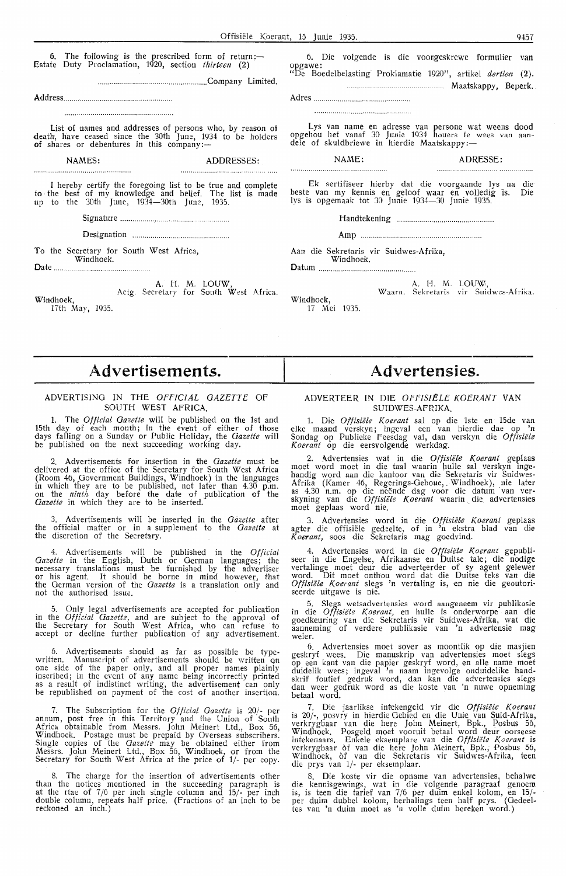6. The following is the prescribed form of return:-Estate Duty Proclamation, 1920, section *thirteen* (2)

...................................................... Company Limited.

Address ..................................................... .

List of names and addresses of persons who, by reason ot death, have ceased since the 30th June, 1934 to be holders of shares or debentures in this company:—

**NAMES:** ADDRESSES:

 $\overline{\phantom{a}}$ 

I hereby certify the foregoing list to be true and complete to the best of my knowledge and belief. The list is made up to the 30th June, 1934-30th June, 1935.

Signature .............................. .. .................... .

Designation ........................................ ..

To the Secretary for South West Africa,

Windhoek. Date ............................................... .

A. H. M. LOUW, Actg. Secretary for South West Africa. Windhoek, 17th May, 1935.

6. Die volgende is die voorgeskrewe formulier **van**  opgawe: "De Boedelbelasting Proklamatie 1920", artikel *dertien* **(2) .** 

............................................ Maatskappy, Beperk.

Adres ............................................... .

Lys van name en adresse van persone wat weens dood opgehou het vanaf 30 Junie 1934 houers te wees van aan-<br>dele of skuldbriewe in hierdie Maatskappy:—

NAME: ADRESSE: 

Ek sertifiseer hierby dat die voorgaande lys na die beste van my kennis en geloof waar en volledig is. Die lys is opgemaak tot 30 Junie 1934-30 Junie 1935.

Handtekening ............................................... .

Amp .................... ..

Aan die Sekretaris vir Suidwes-Afrika,

Windhoek. Datum ............................................. ..

> A. H. M. LOUW<sub>'</sub>, W aarn. Sekretaris vir Suidwes-Afrika.

Windhoek, 17 Mei 1935.

# **,i\dvertisements.**

#### ADVERTISING IN THE *OFf'IC!AL GAZETTE* Of SOUTH WEST AFRICA.

1. The *Official Gazette* will be published on the 1st and 15th day of each month; in the event of either of those days falling on a Sunday or Public H,oliday, the *Gazette* will be published on the next succeeding working day.

2. Advertisements for insertion in the *Gazette* must be delivered at the office of the Secretary for South West Africa (Room 46, Government Buildings, Windhoek) in the languages in which they are to be published, not later than 4.30 p.m. on the *ninth* day before the date of publicati,on of the Gazette in which they are to be inserted.

3. Advertisements will be inserted in the *Gazette* after the official matter or in a supplement to the *Gazette* at the discretion of the Secretary.

4. Advertisements will be published in the *Official Gazette* in the English, Dutch or German languages; the necessary translations must be furnished by the advertiser or his agent. It should be borne in mind howev-er., that the German version of the *Gazette* is a translation only and not the authorised issue.

5. Only legal advertisements are accepted for publication in the *Official Gazetti,* and are subject to the approval of the Secretary for South West Africa, who can refuse to accept or decline further publication of any advertisement.

Advertisements should as far as possible be typewritten. Manuscript of advertisements should be written on<br>one side of the paper only, and all proper names plainly inscribed; in the event of any name being incorrectly printed as a result of indistinct writing, the advertisement can only be republished on payment of the cost of another insertion.

7. The Subscription for the *Official Gazette* is 20/- per annum, post free in this Territory and the Union of South Africa obtainable from Messrs. John Meinert Ltd., Box 56, Windhoek. Postage must be prepaid by Overseas subscribers. Single copies of the *Gazette* may be obtained either from Messrs. John Meinert Ltd., Box 56, Windhoek, or from the Secretary for South West Africa at the price of 1/- per copy.

8. The charge for the insertion of advertisements other than the notices mentioned in the succeeding paragraph is at the rtae of 7/6 per inch single column and 15/- per inch double column, repeats half price. (fractions of an inch to be reckoned an inch.)

## **Advertensies.**

#### ADVERTEER IN DIE *OFflSIELE KOERANT* **VAN**  SUIDWES-AFRIKA.

1. Die *Offisiele Koerant* sal op die lste en 15de van elke maand verskyn; ingeval een· van hi-erdie dae op **'n**  Sondag op Publieke Feesdag val, dan verskyn die Offisiële *Koerant* op die eersvolgende werkdag.

2. Advertensies wat in die *Offisiële Koerant* geplaas moet word moet in die taal waarin hulle sal verskyn ingehandig word aan die kantoor van die Sekretaris vir Suidwes-Afrika (Kamer 46, Regerings-Geboue, Windhoek), nie later as 4.30 n.m. op die neende dag voor die datum van ver-<br>skyning van die *Offisiële Koerant* waarin die advertensies moet geplaas word nie.

3. Advertensies word in die *Offisiele Koerant* geplaas agter die offisiële gedeelte, of in 'n ekstra blad van die Koerant, soos die Sekretaris mag goedvind.

4. Advertensies word in die Offisiële Koerant gepubliseer in die Engelse, Afrikaanse en Duitse tale; die nodige vertalinge moet deur die adverteerder of sy agent gelewer word. Dit moet onthou word dat die Duitse teks van die Offisiële Koerant slegs 'n vertaling is, en nie die geoutoriseerde uitgawe is nie.

5. Slegs wetsadvertensies word aangeneem vir publikasie in die *Offisiële Koerant,* en hulle is onderworpe aan die<br>goedkeuring van die Sekretaris vir Suidwes-Afrik**a**, wat die aanneming of verdere publikasie van 'n advertensie mag weier.

6. Advertensies moet sover as moontlik op die masjien geskryf wees. Die manuskrip van advertensies moet slegs op een kant van die papier geskryf word, en alle name moet duidelik wees; ingeval 'n naam ingevolge onduidelike handskrif foutief gedruk word, dan kan die advertensies slegs dan weer gedruk word as die koste van 'n nuwe opneming betaal word.

7. Die jaarlikse intekengeld vir die Offisiële Koerant is 20/-, posvry in hierdie Gebied en die Unie van Suid-Afrika, verkrygbaar van die here John Meinert, Bpk., Posbus 56, Windhoek. Posgeld moet vooruit betaal word deur oorseese<br>intekenaars. Enkele eksemplare van die *Offisiële Koerant* is verkrygbaar of van die here John Meinert, Bpk., Posbus 56, Windhoek, of van die Sekretaris vir Suidwes-Afrika, teen die prys van 1/- per eksemplaar.

8. Die koste vir die opname van advertensies, behalwe die kennisgewings, wat in die volgende paragraaf genoem is, is teen die tarief van 7/6 per duim enkel kolom, en 15/ per duim dubbel kolom, herhalings teen half prys. (Gedeeltes van 'n duim moet as 'n volle duim bereken word.)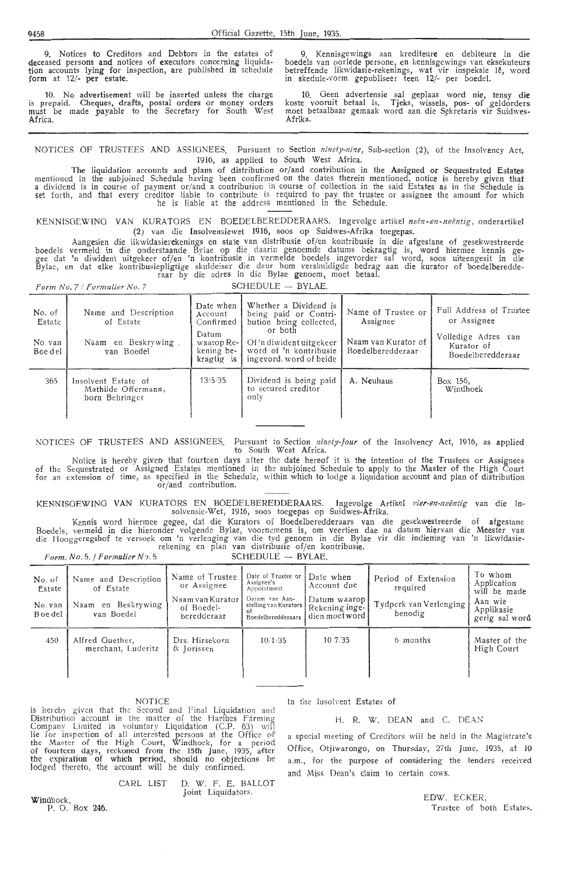9. Notices to Creditors and Debtors in the estates of deceased persons and notices of executors concerning liquidation accounts lying for inspection, are published in schedule form at 12/- per estate.

10. No advertisement will be inserted unless the charge is prepaid. Cheques, drafts, postal orders or money orders must be made payable to the Secretary for South West Africa.

9. Kennisgewings aan krediteure en debiteure in die boedels van oorlede persone, en kennisgewings van eksekuteurs<br>betreffende likwidasie-rekenings, wat vir inspeksie lê, word in skedule-vorm gepubliseer teen 12/- per boedel.

10. Geen advertensie sal geplaas word nie, tensy die koste vooruit betaal is. Tjeks, wissels, pos- of \_geldorders moet betaalbaar gemaak word aan die Sekretaris vir Suidwes-Afrika.

NOTICES OF TRUSTEES AND ASSIGNEES. Pursuant to Section *ninety-nine*, Sub-section (2), of the Insolvency Act, 1916, as applied to South West Africa.

The liquidation accounts and plans of distribution or/and contribution in the Assigned or Sequestrated Estates mentioned in the • sub joined Schedule having been confirmed on the dates therein mentioned, notice is hereby given that a dividend is in course of payment or/and a contribution in course of collection in the said Estates as in the Schedule is<br>set forth, and that every creditor liable to contribute is required to pay the trustee or assignee he is liable at the address mentioned in the Schedule.

KENNISGEWING VAN KURATORS EN BOEDELBEREDDERAARS. Ingevolge artikel neën-en-neëntig, onderartikel (2) van die Insolvensiewet 1916, soos op Suidwes-Afrika toegepas.

Aangesien die likwidasierekenings en state van distribusie of/en kontribusie in die afgestane of gesekwestreerde boedels vermeld in die onderstaande Bylae op die daarin genoemde datums bekragtig is, word hiermee kennis gegee dat 'n diwident uitgekeer of/en 'n kontribusie in vermelde boedels ingevorder sal word, soos uiteengesit in die Bylac, en dat elke kontribusiepligtige skuldeiser die deur hom verskuldigde bedrag aan die kurator of boedelberedderaar by die adres in die Bylae genoem, moet betaa!.

*f'orm No. 7 / Formulier No. 7* SCHEDULE - BYLAE.

| No. of<br>Estate<br>No. van<br>Boe del | Name and Description<br>of Estate<br>Naam en Beskrywing.<br>van Boedel | Date when<br>Account<br>Confirmed<br>Datum<br>waarop Re-<br>kening be-<br>kragtig is | Whether a Dividend is<br>being paid or Contri-<br>bution being collected,<br>or both<br>Of'n diwident uitgekeer<br>word of 'n kontribusie<br>ingevord, word of beide | Name of Trustee or<br>Assignee<br>Naam van Kurator of<br>Boedelberedderaar | Full Address of Trustee<br>or Assignee<br>Volledige Adres van<br>Kurator of<br>Boedelberedderaar |
|----------------------------------------|------------------------------------------------------------------------|--------------------------------------------------------------------------------------|----------------------------------------------------------------------------------------------------------------------------------------------------------------------|----------------------------------------------------------------------------|--------------------------------------------------------------------------------------------------|
| 365                                    | Insolvent Estate of<br>Mathilde Offermann,<br>born Behringer           | 13/5/35                                                                              | Dividend is being paid<br>to secured creditor<br>only                                                                                                                | A. Neuhaus                                                                 | Box 156,<br>Windhoek                                                                             |

NOTICES OF TRUSTEES AND ASSIGNEES. Pursuant to Section *ninety-four* of the Insolvency Act, 1916, as applied to South West Africa.

of the for an Notice is hereby given that fourteen days after the date hereof it is the intention of the Trustees or Assignees Sequestrated or Assigned Estates mentioned in the subjoined Schedule to apply to the Master of the High Court extension of time, as specified in the Schedule, within which to lodge a liquidation account and plan of distribution. or/and contribution.

KENNJSOEWING VAN KURATORS EN BOEDELBEREDDERAARS. Ingevolge Artikel *Pier-en-neentig* van die lnsolvensie-Wet, 1916, soos toegepas op Suidwes-Afrika.

Kennis word hiermee gegee, dat die Kurators of Boedelberedderaars van die gesekwestreerde of afgestane Boedels, vermeld in die hieronder volgende Bylae, voornemens is, om veertien dae na datum hiervan die Meester van die Hooggeregshof te versoek om 'n verlenging van die tyd genoem in die Bylae vir die indiening van 'n likwidasie rekening en plan van distribusie of/en kontribusie.

|                                         | Form. No. 5. $/$ Formulier No. 5                                      | $SCHEDULE - BYLAE$                                                              |                                                                                                                               |                                                                                |                                                                      |                                                                                   |
|-----------------------------------------|-----------------------------------------------------------------------|---------------------------------------------------------------------------------|-------------------------------------------------------------------------------------------------------------------------------|--------------------------------------------------------------------------------|----------------------------------------------------------------------|-----------------------------------------------------------------------------------|
| No. of<br>Estate<br>No. van<br>B oe del | Name and Description<br>of Estate<br>Naam en Beskrywing<br>van Boedel | Name of Trustee<br>or Assignee<br>Naam van Kurator<br>of Boedel-<br>beredderaar | Date of Trustee or<br>Assignee's<br>Appointment<br>Daium van Aan-<br>stelling van Kurators<br>οŧ<br><b>Boedelberedderaars</b> | Date when<br>Account due<br>Datum waarop l<br>Rekening inge-<br>dien moet word | Period of Extension<br>required<br>Tydperk van Verlenging<br>benodig | To whom<br>Application<br>will be made<br>Aan wie<br>Applikasie<br>gerig sal word |
| 450                                     | Alfred Guether,<br>merchant, Luderitz                                 | Drs. Hirsekorn<br>& Jorissen                                                    | 10/1/35                                                                                                                       | 107.35                                                                         | 6 months                                                             | Master of the<br>High Court                                                       |

#### NOTICE

is hereby given that the Second and Final Liquidation and<br>Distribution account in the matter of the Haribes Fárming<br>Company Limited in voluntary Liquidation (C.P. 63) will<br>lie for inspection of all interested persons at th the Master of the High Court, Windhoek, for a period of fourteen days, reckoned from the 15th June, 1935, after the expiration of which period, should no objections be lodged thereto, the account will be duly confirmed.

> CARL LIST D. W. F. E. BALLOT Joint Liquidators.

Windhoek, P. 0. Box 246.

In the Insolvent Estates of

#### H. R. W. DEAN and C. DEAN

a special meeting of Creditors will be held in the Magistrate's Office, Otjiwarongo, on Thursday, 27th June, 1935, at 10 a.m., for the purpose of considering the tenders received and Miss Dean's claim to certain cows.

> EDW. ECKER, Trustee of both Estates.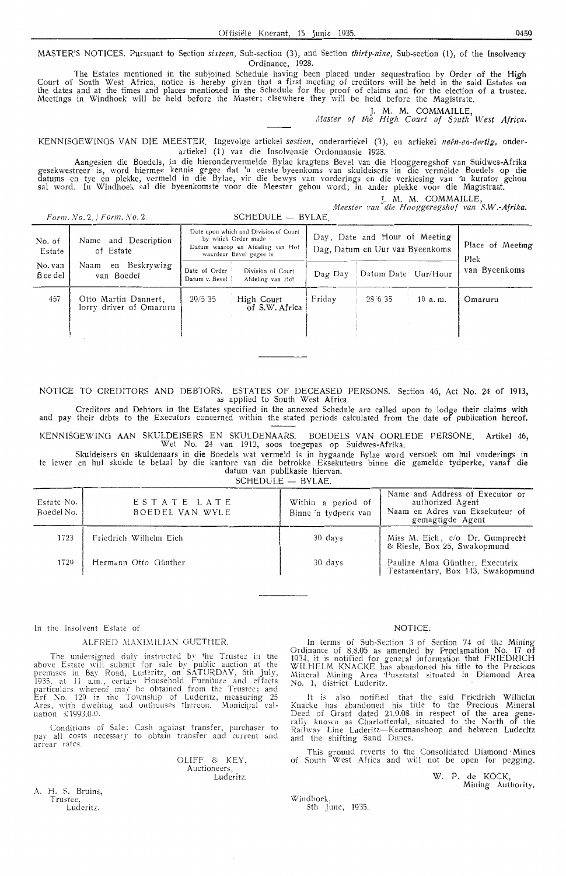MASTER'S NOTICES. Pursuant to Section *sixteen*, Sub-section (3), and Section *thirty-nine*, Sub-section (1), of the Insolvency Ordinance, 1928.

The Estates mentioned in the subjoined Schedule having been placed under sequestration by Order of the High Court of South West Africa, notice is hereby given that a first meeting of creditors will be held in the said Estates on<br>the dates and at the times and places mentioned in the Schedule for the proof of claims and for the e Meetings in Windhoek will be held before the Master; elsewhere they will be held before the Magistrate.

J. M. M. COMMAILLE, *1Haster of the ffigh Court of SJuth West Africa.* 

KENNISGEWINGS VAN DIE MEESTER<sub>.</sub> Ingevolge artiekel *sestien,* onderartiekel (3), en artiekel *neën-en-dertig,* onderartiekel (1) van die Insolvensie Ordonnansie 1928.

Aangesien die Boedels, in die hierondervermelde Bylae kragtens Bevel van die Hooggeregshof van Suidwes-Afrika gesekwestreer is, word hiermee kennis gegee dat 'n eerste byeenkoms van skuldeisers in die vermelde Boedels op die datums en tye en plekke, vermeld in die Bylae, vir die bewys van vorderings en die verkiesing van ^n kurator gehou sal word. In Windhoek sal die byeenkomste voor die Meester gehou word; in ander plekke voor die Magistraat.

*].* M. M. COMMAILLE,

*A1eester* Fan *die ffoogg.eregshof* Fan *S.W.-Afrika.* 

| Form. $No. 2$ , $/$ Form. $No. 2$ . |  |  |
|-------------------------------------|--|--|
|-------------------------------------|--|--|

*Form. No.* 2. */Form.No.* 2. SCHEDULE - BYLAE

|                     | $T$ orm, $N$ $\sigma$ , $\Delta$ , $T$ orm, $N$ $\sigma$ , $\Delta$ . | $S$ CHLDULL $=$ DILAL                                                                                                       |                           |                                                                  |                          |
|---------------------|-----------------------------------------------------------------------|-----------------------------------------------------------------------------------------------------------------------------|---------------------------|------------------------------------------------------------------|--------------------------|
| No. of<br>Estate    | and Description<br>Name<br>of Estate                                  | Date upon which and Division of Court<br>by which Order made<br>Datum waarop en Afdeling van Hof<br>waardeur Bevel gegee is |                           | Day, Date and Hour of Meeting<br>Dag, Datum en Uur van Byeenkoms | Place of Meeting<br>Plek |
| No. van<br>B oe del | en Beskrywing<br>Naam<br>van Boedel                                   | Date of Order<br>Division of Court<br>Datum v. Bevel<br>Afdeling van Hof                                                    | $\text{Dag}$ $\text{Day}$ | Datum Date Uur/Hour                                              | van Byeenkoms            |
| 457                 | Otto Martin Dannert,<br>lorry driver of Omaruru                       | 29/535<br>High Court<br>of S.W. Africa                                                                                      | Friday                    | 28 6 35<br>$10$ a.m.                                             | Omaruru                  |

NOTICE TO CREDITORS AND DEBTORS. ESTATES Of DECEASED PERSONS. Section 46, Act No. 24 of 1913, as applied to South West Africa.

Creditors and Debtors in the Estates specified in the annexed Schedule are called upon to lodge their claims with and pay their debts to the Executors concerned within the stated periods calculated from the date of publication hereof.

KENNISOEWING AAN SKULDEISERS EN SKULDENAARS. BOEDELS VAN OORLEDE PERSONE, Artikel 46, Wet No. 24 van 1913, soos toegepas op Suidwes-Afrika.

Sku!deisers en skuldenaars in die Boedels wat vermeld is in bygaande Bylae word versoek om hul vorderings in te lewer en hul skulde te betaal by die kantore van die betrokke Eksekuteurs binne die gemelde tydperke, vanaf die datum van publikasie hiervan.

SCHEDULE - BYLAE.

| Estate No.<br>Boedel No. | ESTATE LATE<br>BOEDEL VAN WYLE | Within a period of<br>Binne 'n tydperk van | Name and Address of Executor or<br>authorized Agent<br>Naam en Adres van Eksekuteur of<br>gemagtigde Agent |
|--------------------------|--------------------------------|--------------------------------------------|------------------------------------------------------------------------------------------------------------|
| 1723                     | Friedrich Wilhelm Eich         | 30 days                                    | Miss M. Eich, c/o Dr. Gumprecht<br>& Riesle, Box 25, Swakopmund                                            |
| 1729                     | Hermann Otto Günther           | 30 days                                    | Pauline Alma Günther, Executrix<br>Testamentary, Box 143, Swakopmund                                       |

In the Insolvent Estate of

#### ALFRED MAXIMILIAN GUETHER.

The undersigned duly instructed by the Trustee in the above Estate will submit for sale by public auction at the premises in Bay Road, Ludcritz, on SATURDAY, 6th July, 1935, at 11 a.m., certain Household Furniture and effects particulars whereof may be obtained from the Trustee; and Erf No. 129 in the Township of Luderitz, measuring 25 Ares, with dwelling and outhouses thereon. Municipal valuation £1993.0.0.

Conditions of Sale: Cash against transfer, purchaser to pay all costs necessary to obtain transfer and current and arrear rates.

> OLIFF & KEY, Auctioneers, Luderitz.

NOTICE;

In terms of Sub-Section 3 of Section 74 of the Mining Ordinance of 8,8.05 as amended by Proclamation No. 17 of 1934, it is notified for general information that FRIEDRICH WILHELM KNACKE has abandoned his title to the Precious Mineral Mining Area *Pusztatal situated in Diamond Area* No. 1, district Luderitz.

It is also notified that the said Friedrich Wilhelm Knacke has abandoned his title to the Precious Mineral Deed of Grant dated 21,9.08 in respect of the area generally known as Charlottental, situated to the North of the Railway Line Luderitz-Keetmanshoop and between Luderitz and the shifting Sand Dunes.

This ground reverts to the Consolidated Diamond Mines of South West Africa and will not be open for pegging.

> W. P. de KOCK, Mining Authority.

A. H. S. Bruins, Trustee. Luderitz.

Windhoek, 8th June, 1935.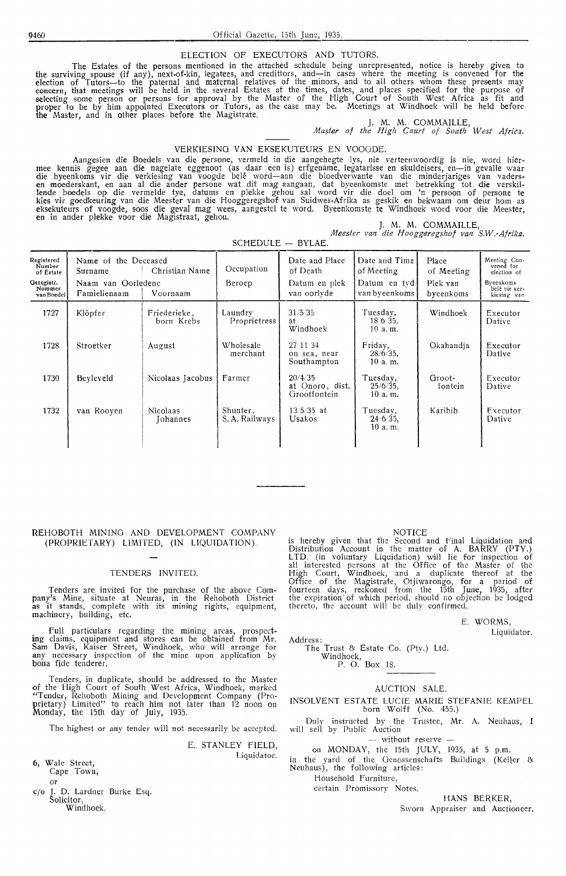#### ELECTION OF EXECUTORS AND TUTORS.

The Estates of the persons mentioned in the attached schedule being unrepresented, notice is hereby given to the surviving spouse (if any), next-of-kin, legatees, and credittors, and~in cases where the meeting is convened for the election of Tutors-to the paternal and maternal relatives of the minors, and to all others whom these presents may concern, that meetings will be held in the several Estates at the times, dates, and places specified for the purpose of selecting some person or persons for approval by the Master of the High Court of South West Africa as fit and proper to be by him appointed Executors or Tutors, as the case may be. Meetings at Windhoek will be held before the Master, and in other places before the Magistrate.

J. M. M. COMMAILLE, *Master of the High Court of South West Africz.* 

#### VERKIESING **VAN** EKSEKUTEURS EN VOOGDE.

Aangesien die Boedels van die persone, vermeld in die aangehegte lys, nie verteenwoordig is nie, word hier-<br>mee kennis gegee aan die nagelate eggenoot (as daar een is) erfgename, legatarisse en skuldeisers, en—in gevalle w lende boedels op die vermelde tye, datums en plekke gehou sal word vir die doe! om 'n persoon o\_f persone te kies vir goed'keuring van die Meester van die Hooggeregshof van Suidwes-Afrika as geskik en bekwaam om deur horn as eksekuteurs of voogde, soos die geval mag wees, aangestel te word. Byeenkomste te Windhoek word voor die Meester,<br>en in ander plekke voor die Magistraat, gehou.

|  |  | J. M. M. COMMAILLE, |                                                |
|--|--|---------------------|------------------------------------------------|
|  |  |                     | Meester van die Hooggeregshof van S.W.-Afrika. |

SCHEDULE - BYLAE.

| Registered<br>Number<br>of Estate<br>Geregistr.<br>Nommer<br>van Boedel | Name of the Deceased<br>Surname<br>Naam van Oorledene<br>Famielienaam | Christian Name<br>Voornaam  | Occupation<br>Beroep       | Date and Place<br>of Death<br>Datum en plek<br>van oorlyde | Date and Time<br>of Meeting<br>Datum en tyd<br>van byeenkoms | Place<br>of Meeting<br>Plek van<br>byeenkoms | Meeting Con.<br>vened for<br>election of<br>Byeenkoms<br>belê vir ver-<br>kiesing van |
|-------------------------------------------------------------------------|-----------------------------------------------------------------------|-----------------------------|----------------------------|------------------------------------------------------------|--------------------------------------------------------------|----------------------------------------------|---------------------------------------------------------------------------------------|
| 1727                                                                    | Klöpfer                                                               | Friederieke,<br>born Krebs  | Laundry<br>Proprietress    | 31/5/35<br>at<br>Windhoek                                  | Tuesday,<br>18/6 35.<br>10 a.m.                              | Windhoek                                     | Executor<br>Dative                                                                    |
| 1728                                                                    | Stroetker                                                             | August                      | Wholesale<br>merchant      | 27:11:34<br>on sea, near<br>Southampton                    | Friday,<br>$28/6/35$ ,<br>10a.m.                             | Okahandja                                    | Executor<br>Dative                                                                    |
| 1730                                                                    | Beyleveld                                                             | Nicolaas Jacobus            | Farmer                     | 20/4/35<br>at Onoro, dist.<br>Grootfontein                 | Tuesday,<br>$25/6/35$ ,<br>$10a$ . m.                        | Groot-<br>fontein                            | Executor<br>Dative                                                                    |
| 1732                                                                    | van Rooven                                                            | Nicolaas<br><b>Iohannes</b> | Shunter,<br>S. A. Railways | $13/5/35$ at<br>Usakos                                     | Tuesdav,<br>$24/6/35$ .<br>10 a.m.                           | Karibib                                      | Executor<br>Dative                                                                    |

#### REHOBOTH MINING AND DEVELOPMENT COMPANY (PROPRIETARY) LIMITED, **(IN** LIQUIDATION).

#### TENDERS INVITED.

Tenders are invited for the purchase of the above Company's Mine, situate at Neuras, in the Rehoboth District<br>as it stands, complete with its mining rights, equipment, machinery, building, etc.

Full particulars regarding the mining areas, prospecting claims, equipment and stores can be obtained from Mr. Sam Davis, Kaiser Street, Windhoek, who will arrange for any necessary inspection of the mine upon application by bona fide tenderer.

Tenders, in duplicate, should be addr,essed *to* the Master of the High Court of South West Africa, Windhoek, marked "Tender, Rehoboth Mining and Development Company (Pro- !pr.ietary) Limited" to reach him not later than 12 noon on Monday, the 15th day of July, 1935.

The highest or any tender will not necessarily be accepted.

E. STANLEY FIELD,

Liquidator.

6, Wale Street, Cape Town,

or c/o J. D. Lardner Burke Esq. Solicitor, Windhoek.

#### NOTICE

is hereby given that the Second and Final Liquidation and Distribution Account in the matter of A. BARRY (PTY.) LTD. (in voluntary Liquidation) will lie for inspection of all interested persons at the Office of the Master of · the High Court, Windhoek, and a duplicate thereof at the Office of the Magistrate, Otjiwarongo, for a period of fourteen days, reckoned from the 15th June, 1935, after the expiration· of which period, should no objection be lodged thereto, the account will be duly confirmed.

#### E. WORMS,

Liquidator.

Address: The Trust & Estate Co. (Pty.) Ltd.

# Windhoek, P. 0. Box 18.

#### AUCTION SALE.

INSOLVENT ESTATE LUCIE MARIE STEFANIE KEMPEL born Wolff (No. 455.)

Duly instructed by the Trustee, Mr. A. Neuhaus, I will sell by Public Auction

- without reserve -

on MONDAY, the 15th JULY, 1935, at 5 p.m.

in the yard of the Genossenschafts Buildings (Keller  $\&$ Neuhaus), the following articles:

Household Furniture,

certain Promissory Notes.

HANS BERKER,

Sworn Appraiser and Auctioneer.